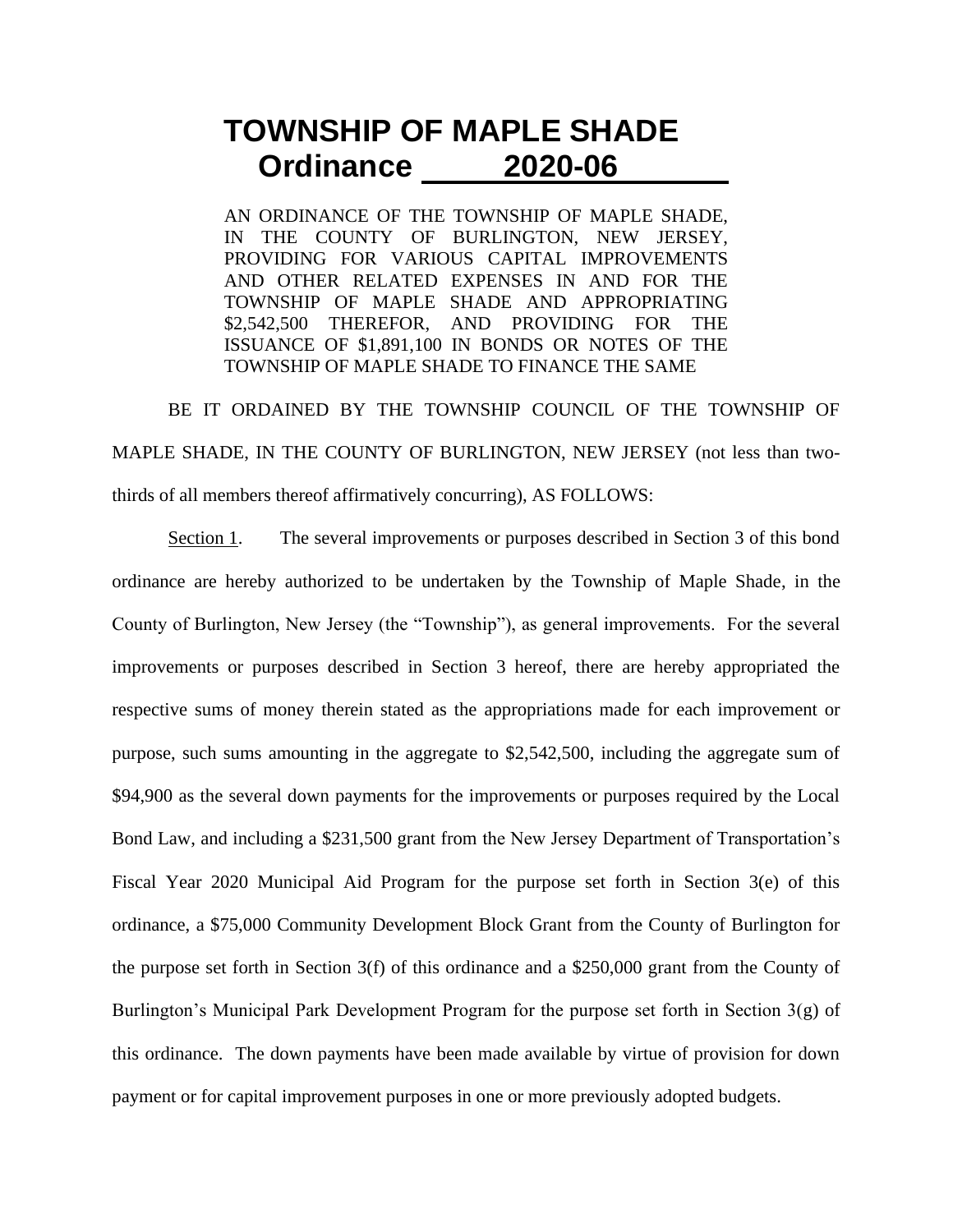## **TOWNSHIP OF MAPLE SHADE Ordinance 2020-06**

AN ORDINANCE OF THE TOWNSHIP OF MAPLE SHADE, IN THE COUNTY OF BURLINGTON, NEW JERSEY, PROVIDING FOR VARIOUS CAPITAL IMPROVEMENTS AND OTHER RELATED EXPENSES IN AND FOR THE TOWNSHIP OF MAPLE SHADE AND APPROPRIATING \$2,542,500 THEREFOR, AND PROVIDING FOR THE ISSUANCE OF \$1,891,100 IN BONDS OR NOTES OF THE TOWNSHIP OF MAPLE SHADE TO FINANCE THE SAME

BE IT ORDAINED BY THE TOWNSHIP COUNCIL OF THE TOWNSHIP OF MAPLE SHADE, IN THE COUNTY OF BURLINGTON, NEW JERSEY (not less than twothirds of all members thereof affirmatively concurring), AS FOLLOWS:

Section 1. The several improvements or purposes described in Section 3 of this bond ordinance are hereby authorized to be undertaken by the Township of Maple Shade, in the County of Burlington, New Jersey (the "Township"), as general improvements. For the several improvements or purposes described in Section 3 hereof, there are hereby appropriated the respective sums of money therein stated as the appropriations made for each improvement or purpose, such sums amounting in the aggregate to \$2,542,500, including the aggregate sum of \$94,900 as the several down payments for the improvements or purposes required by the Local Bond Law, and including a \$231,500 grant from the New Jersey Department of Transportation's Fiscal Year 2020 Municipal Aid Program for the purpose set forth in Section 3(e) of this ordinance, a \$75,000 Community Development Block Grant from the County of Burlington for the purpose set forth in Section 3(f) of this ordinance and a \$250,000 grant from the County of Burlington's Municipal Park Development Program for the purpose set forth in Section 3(g) of this ordinance. The down payments have been made available by virtue of provision for down payment or for capital improvement purposes in one or more previously adopted budgets.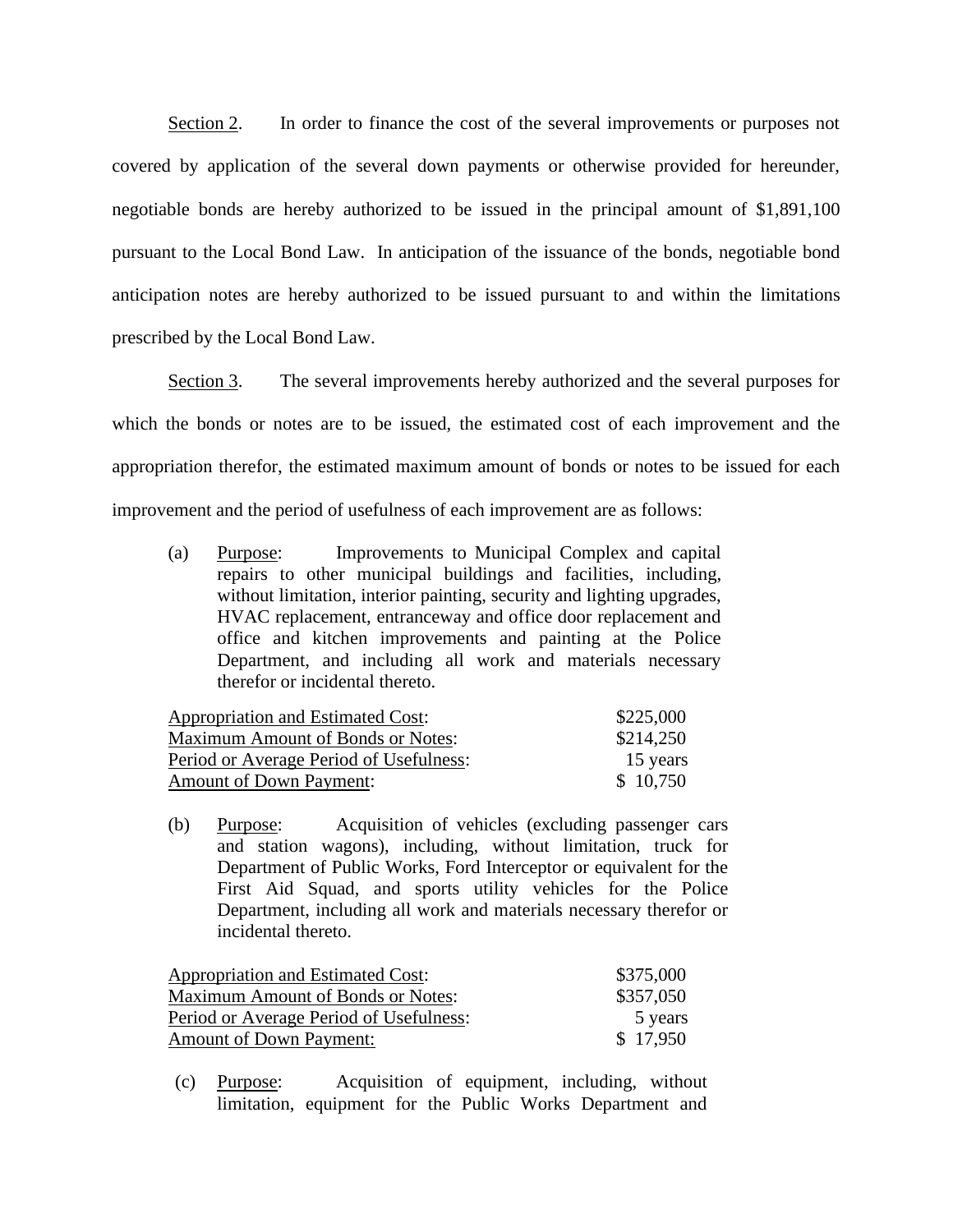Section 2. In order to finance the cost of the several improvements or purposes not covered by application of the several down payments or otherwise provided for hereunder, negotiable bonds are hereby authorized to be issued in the principal amount of \$1,891,100 pursuant to the Local Bond Law. In anticipation of the issuance of the bonds, negotiable bond anticipation notes are hereby authorized to be issued pursuant to and within the limitations prescribed by the Local Bond Law.

Section 3. The several improvements hereby authorized and the several purposes for which the bonds or notes are to be issued, the estimated cost of each improvement and the appropriation therefor, the estimated maximum amount of bonds or notes to be issued for each improvement and the period of usefulness of each improvement are as follows:

(a) Purpose: Improvements to Municipal Complex and capital repairs to other municipal buildings and facilities, including, without limitation, interior painting, security and lighting upgrades, HVAC replacement, entranceway and office door replacement and office and kitchen improvements and painting at the Police Department, and including all work and materials necessary therefor or incidental thereto.

| Appropriation and Estimated Cost:        | \$225,000 |
|------------------------------------------|-----------|
| <b>Maximum Amount of Bonds or Notes:</b> | \$214,250 |
| Period or Average Period of Usefulness:  | 15 years  |
| <b>Amount of Down Payment:</b>           | \$10,750  |

(b) Purpose: Acquisition of vehicles (excluding passenger cars and station wagons), including, without limitation, truck for Department of Public Works, Ford Interceptor or equivalent for the First Aid Squad, and sports utility vehicles for the Police Department, including all work and materials necessary therefor or incidental thereto.

| Appropriation and Estimated Cost:       | \$375,000 |
|-----------------------------------------|-----------|
| Maximum Amount of Bonds or Notes:       | \$357,050 |
| Period or Average Period of Usefulness: | 5 years   |
| <b>Amount of Down Payment:</b>          | \$17,950  |

(c) Purpose: Acquisition of equipment, including, without limitation, equipment for the Public Works Department and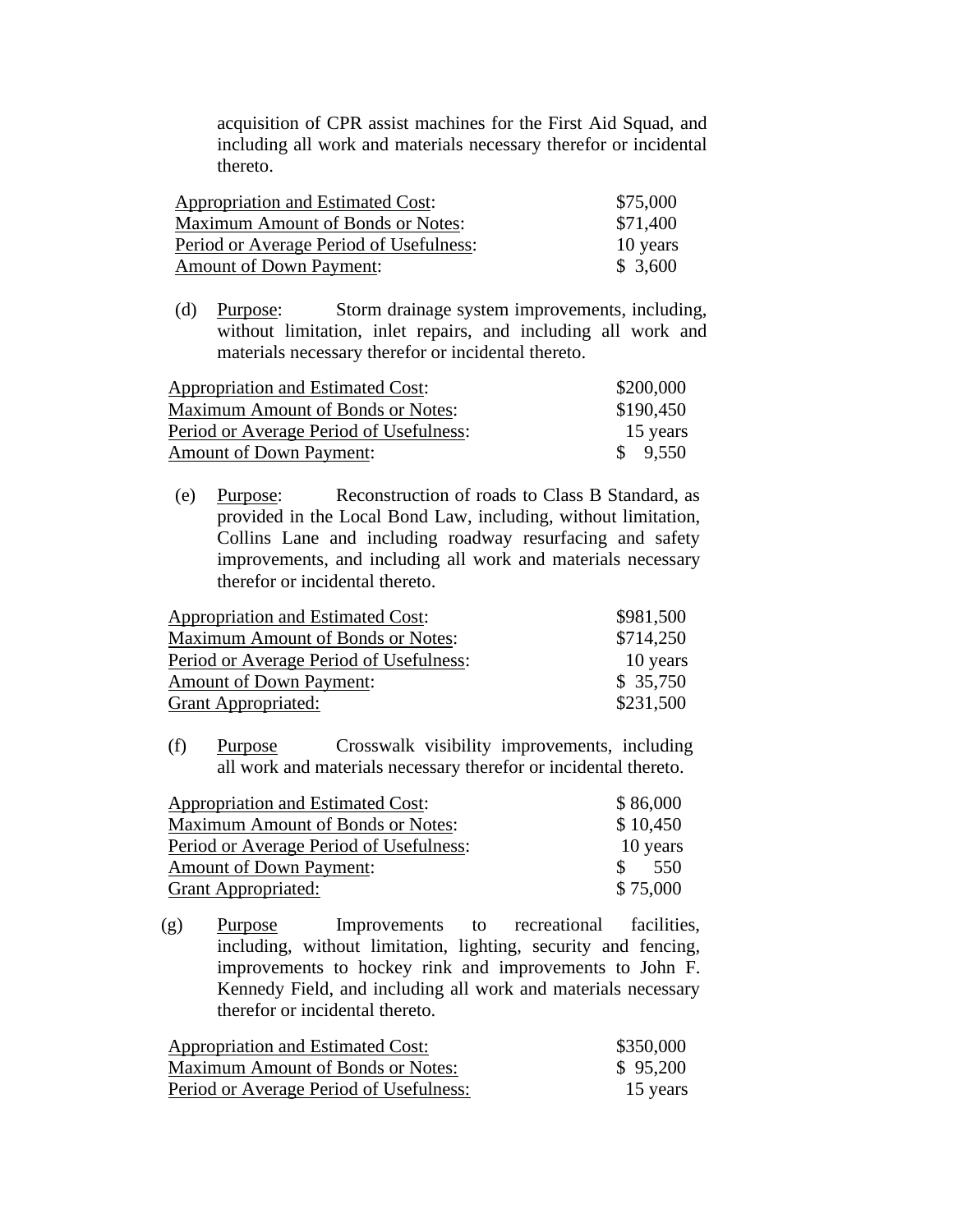acquisition of CPR assist machines for the First Aid Squad, and including all work and materials necessary therefor or incidental thereto.

| Appropriation and Estimated Cost:        | \$75,000 |
|------------------------------------------|----------|
| <b>Maximum Amount of Bonds or Notes:</b> | \$71,400 |
| Period or Average Period of Usefulness:  | 10 years |
| <b>Amount of Down Payment:</b>           | \$3,600  |

(d) Purpose: Storm drainage system improvements, including, without limitation, inlet repairs, and including all work and materials necessary therefor or incidental thereto.

| Appropriation and Estimated Cost:        | \$200,000 |
|------------------------------------------|-----------|
| <b>Maximum Amount of Bonds or Notes:</b> | \$190,450 |
| Period or Average Period of Usefulness:  | 15 years  |
| <b>Amount of Down Payment:</b>           | \$9,550   |

(e) Purpose: Reconstruction of roads to Class B Standard, as provided in the Local Bond Law, including, without limitation, Collins Lane and including roadway resurfacing and safety improvements, and including all work and materials necessary therefor or incidental thereto.

| Appropriation and Estimated Cost:       | \$981,500 |
|-----------------------------------------|-----------|
| Maximum Amount of Bonds or Notes:       | \$714,250 |
| Period or Average Period of Usefulness: | 10 years  |
| <b>Amount of Down Payment:</b>          | \$35,750  |
| <b>Grant Appropriated:</b>              | \$231,500 |

(f) Purpose Crosswalk visibility improvements, including all work and materials necessary therefor or incidental thereto.

| Appropriation and Estimated Cost:       | \$86,000              |
|-----------------------------------------|-----------------------|
| Maximum Amount of Bonds or Notes:       | \$10,450              |
| Period or Average Period of Usefulness: | 10 years              |
| <b>Amount of Down Payment:</b>          | $\mathcal{S}$<br>-550 |
| <b>Grant Appropriated:</b>              | \$75,000              |

(g) Purpose Improvements to recreational facilities, including, without limitation, lighting, security and fencing, improvements to hockey rink and improvements to John F. Kennedy Field, and including all work and materials necessary therefor or incidental thereto.

| Appropriation and Estimated Cost:        | \$350,000 |
|------------------------------------------|-----------|
| <b>Maximum Amount of Bonds or Notes:</b> | \$95,200  |
| Period or Average Period of Usefulness:  | 15 years  |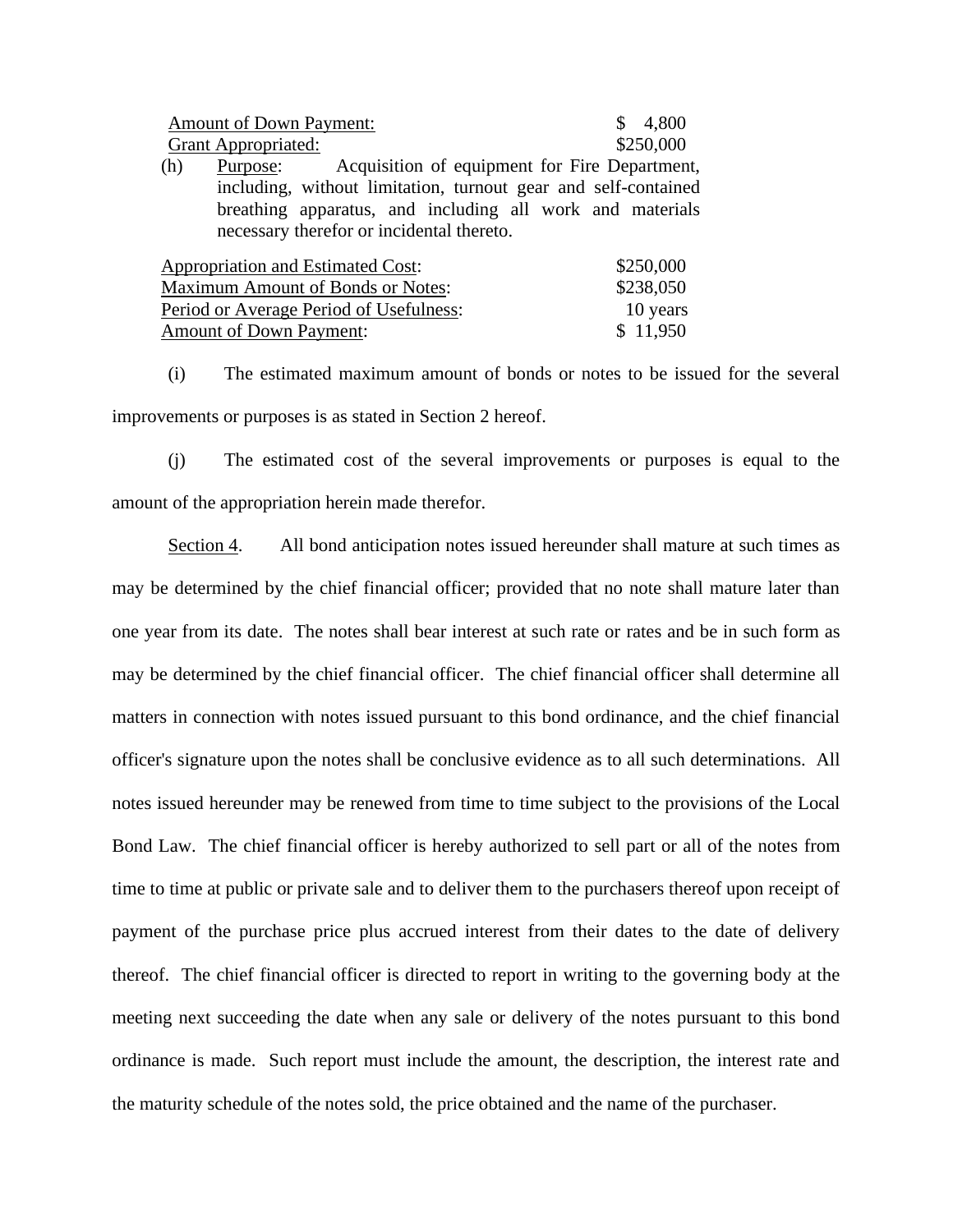| <b>Amount of Down Payment:</b>                                   | 4,800     |
|------------------------------------------------------------------|-----------|
| <b>Grant Appropriated:</b>                                       | \$250,000 |
| Acquisition of equipment for Fire Department,<br>(h)<br>Purpose: |           |
| including, without limitation, turnout gear and self-contained   |           |
| breathing apparatus, and including all work and materials        |           |
| necessary therefor or incidental thereto.                        |           |
| Appropriation and Estimated Cost:                                | \$250,000 |
| $\mathbf{M}$ is $\mathbf{M}$ in $\mathbf{M}$ in $\mathbf{M}$     | 0.00000   |

| <b>Maximum Amount of Bonds or Notes:</b> | \$238,050 |
|------------------------------------------|-----------|
| Period or Average Period of Usefulness:  | 10 years  |
| <b>Amount of Down Payment:</b>           | \$11,950  |

(i) The estimated maximum amount of bonds or notes to be issued for the several improvements or purposes is as stated in Section 2 hereof.

(j) The estimated cost of the several improvements or purposes is equal to the amount of the appropriation herein made therefor.

Section 4. All bond anticipation notes issued hereunder shall mature at such times as may be determined by the chief financial officer; provided that no note shall mature later than one year from its date. The notes shall bear interest at such rate or rates and be in such form as may be determined by the chief financial officer. The chief financial officer shall determine all matters in connection with notes issued pursuant to this bond ordinance, and the chief financial officer's signature upon the notes shall be conclusive evidence as to all such determinations. All notes issued hereunder may be renewed from time to time subject to the provisions of the Local Bond Law. The chief financial officer is hereby authorized to sell part or all of the notes from time to time at public or private sale and to deliver them to the purchasers thereof upon receipt of payment of the purchase price plus accrued interest from their dates to the date of delivery thereof. The chief financial officer is directed to report in writing to the governing body at the meeting next succeeding the date when any sale or delivery of the notes pursuant to this bond ordinance is made. Such report must include the amount, the description, the interest rate and the maturity schedule of the notes sold, the price obtained and the name of the purchaser.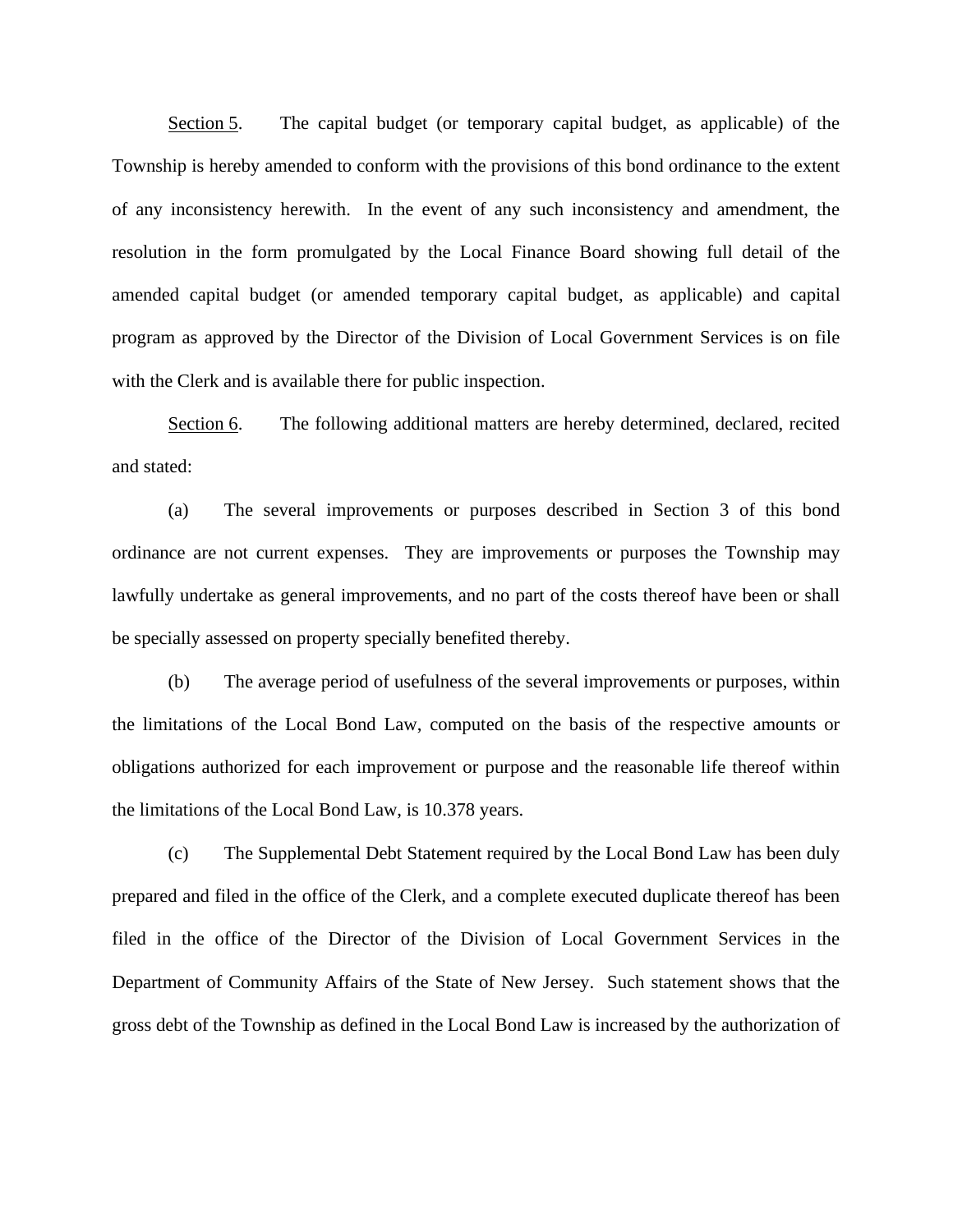Section 5. The capital budget (or temporary capital budget, as applicable) of the Township is hereby amended to conform with the provisions of this bond ordinance to the extent of any inconsistency herewith. In the event of any such inconsistency and amendment, the resolution in the form promulgated by the Local Finance Board showing full detail of the amended capital budget (or amended temporary capital budget, as applicable) and capital program as approved by the Director of the Division of Local Government Services is on file with the Clerk and is available there for public inspection.

Section 6. The following additional matters are hereby determined, declared, recited and stated:

(a) The several improvements or purposes described in Section 3 of this bond ordinance are not current expenses. They are improvements or purposes the Township may lawfully undertake as general improvements, and no part of the costs thereof have been or shall be specially assessed on property specially benefited thereby.

(b) The average period of usefulness of the several improvements or purposes, within the limitations of the Local Bond Law, computed on the basis of the respective amounts or obligations authorized for each improvement or purpose and the reasonable life thereof within the limitations of the Local Bond Law, is 10.378 years.

(c) The Supplemental Debt Statement required by the Local Bond Law has been duly prepared and filed in the office of the Clerk, and a complete executed duplicate thereof has been filed in the office of the Director of the Division of Local Government Services in the Department of Community Affairs of the State of New Jersey. Such statement shows that the gross debt of the Township as defined in the Local Bond Law is increased by the authorization of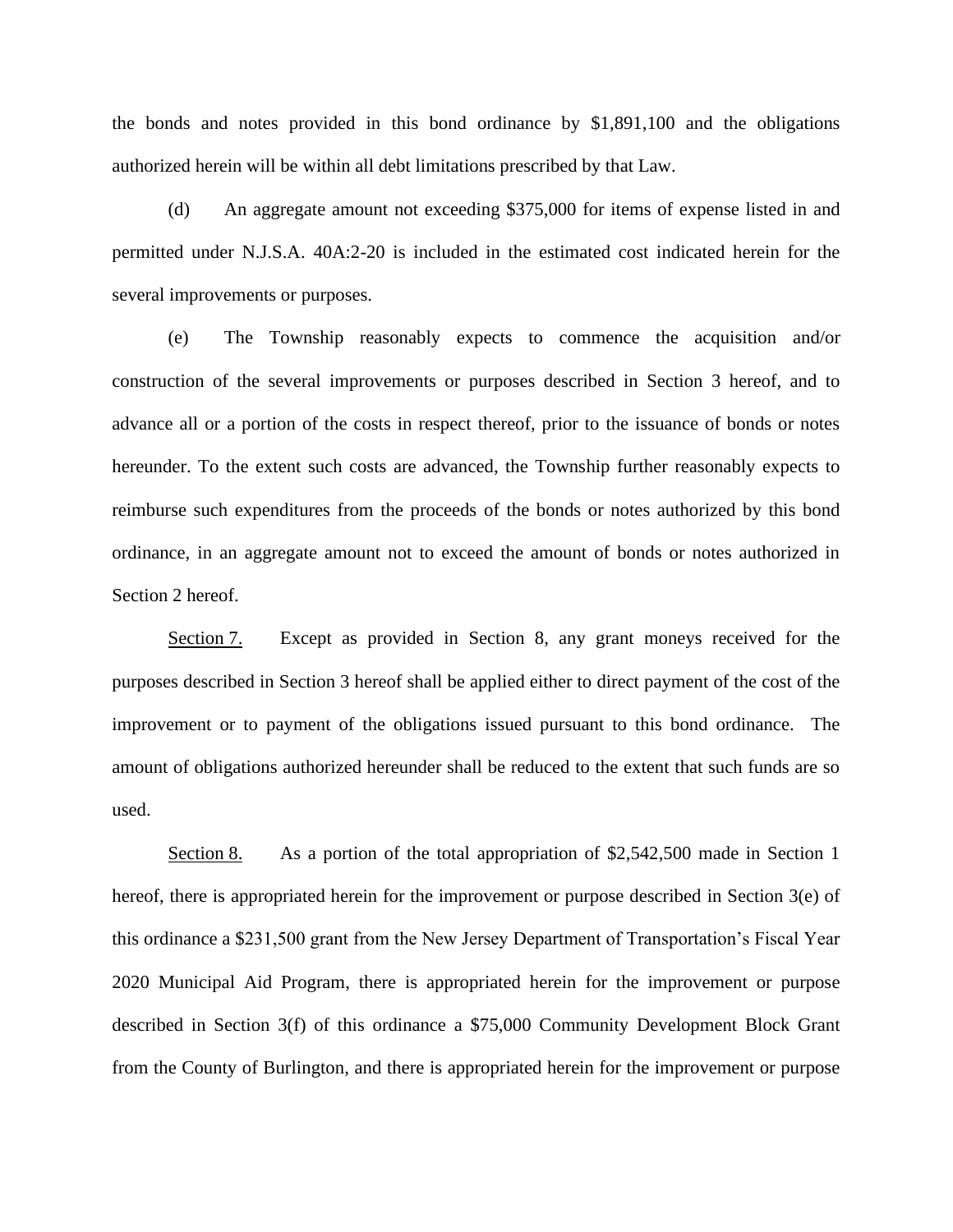the bonds and notes provided in this bond ordinance by \$1,891,100 and the obligations authorized herein will be within all debt limitations prescribed by that Law.

(d) An aggregate amount not exceeding \$375,000 for items of expense listed in and permitted under N.J.S.A. 40A:2-20 is included in the estimated cost indicated herein for the several improvements or purposes.

(e) The Township reasonably expects to commence the acquisition and/or construction of the several improvements or purposes described in Section 3 hereof, and to advance all or a portion of the costs in respect thereof, prior to the issuance of bonds or notes hereunder. To the extent such costs are advanced, the Township further reasonably expects to reimburse such expenditures from the proceeds of the bonds or notes authorized by this bond ordinance, in an aggregate amount not to exceed the amount of bonds or notes authorized in Section 2 hereof.

Section 7. Except as provided in Section 8, any grant moneys received for the purposes described in Section 3 hereof shall be applied either to direct payment of the cost of the improvement or to payment of the obligations issued pursuant to this bond ordinance. The amount of obligations authorized hereunder shall be reduced to the extent that such funds are so used.

Section 8. As a portion of the total appropriation of \$2,542,500 made in Section 1 hereof, there is appropriated herein for the improvement or purpose described in Section 3(e) of this ordinance a \$231,500 grant from the New Jersey Department of Transportation's Fiscal Year 2020 Municipal Aid Program, there is appropriated herein for the improvement or purpose described in Section 3(f) of this ordinance a \$75,000 Community Development Block Grant from the County of Burlington, and there is appropriated herein for the improvement or purpose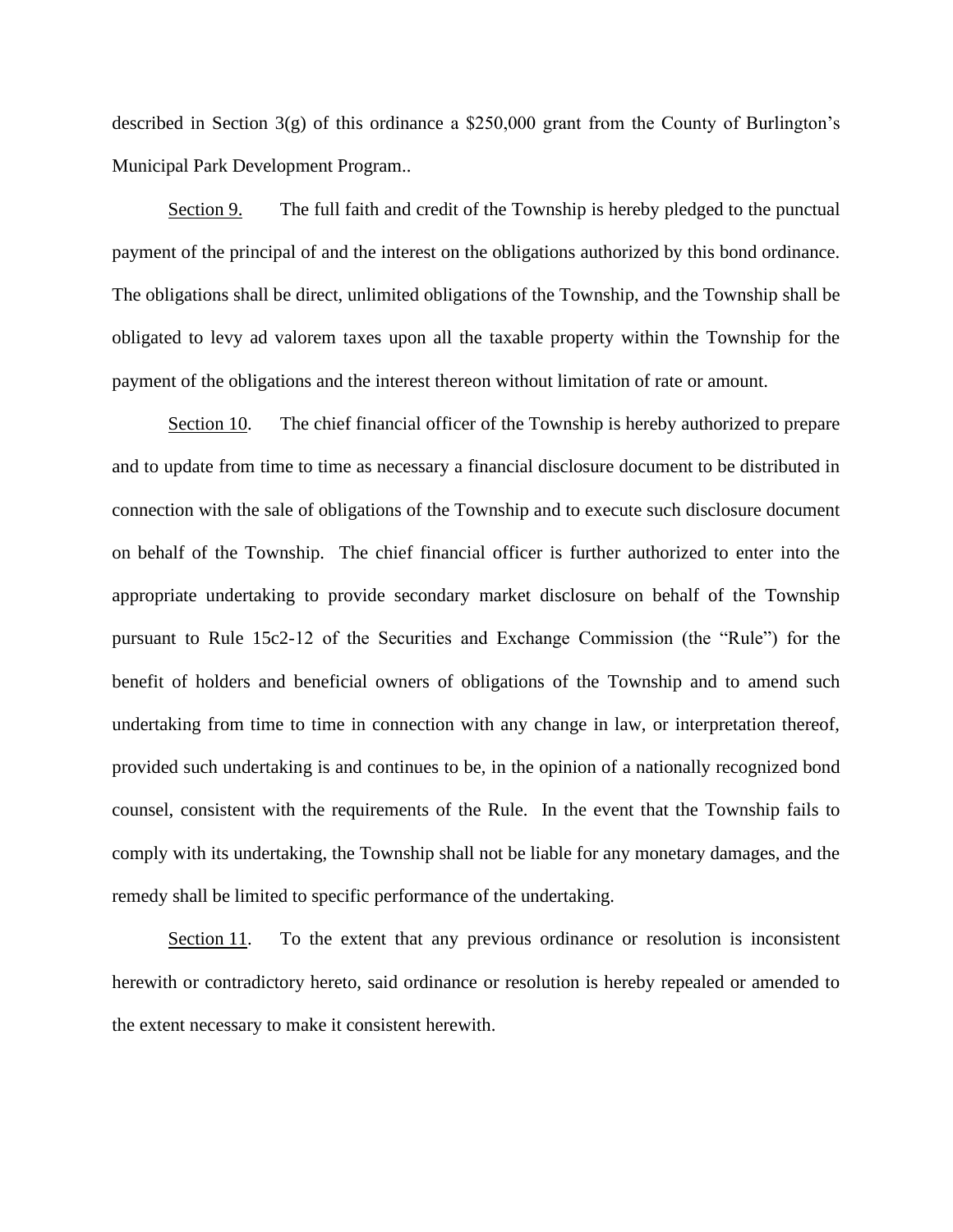described in Section 3(g) of this ordinance a \$250,000 grant from the County of Burlington's Municipal Park Development Program..

Section 9. The full faith and credit of the Township is hereby pledged to the punctual payment of the principal of and the interest on the obligations authorized by this bond ordinance. The obligations shall be direct, unlimited obligations of the Township, and the Township shall be obligated to levy ad valorem taxes upon all the taxable property within the Township for the payment of the obligations and the interest thereon without limitation of rate or amount.

Section 10. The chief financial officer of the Township is hereby authorized to prepare and to update from time to time as necessary a financial disclosure document to be distributed in connection with the sale of obligations of the Township and to execute such disclosure document on behalf of the Township. The chief financial officer is further authorized to enter into the appropriate undertaking to provide secondary market disclosure on behalf of the Township pursuant to Rule 15c2-12 of the Securities and Exchange Commission (the "Rule") for the benefit of holders and beneficial owners of obligations of the Township and to amend such undertaking from time to time in connection with any change in law, or interpretation thereof, provided such undertaking is and continues to be, in the opinion of a nationally recognized bond counsel, consistent with the requirements of the Rule. In the event that the Township fails to comply with its undertaking, the Township shall not be liable for any monetary damages, and the remedy shall be limited to specific performance of the undertaking.

Section 11. To the extent that any previous ordinance or resolution is inconsistent herewith or contradictory hereto, said ordinance or resolution is hereby repealed or amended to the extent necessary to make it consistent herewith.